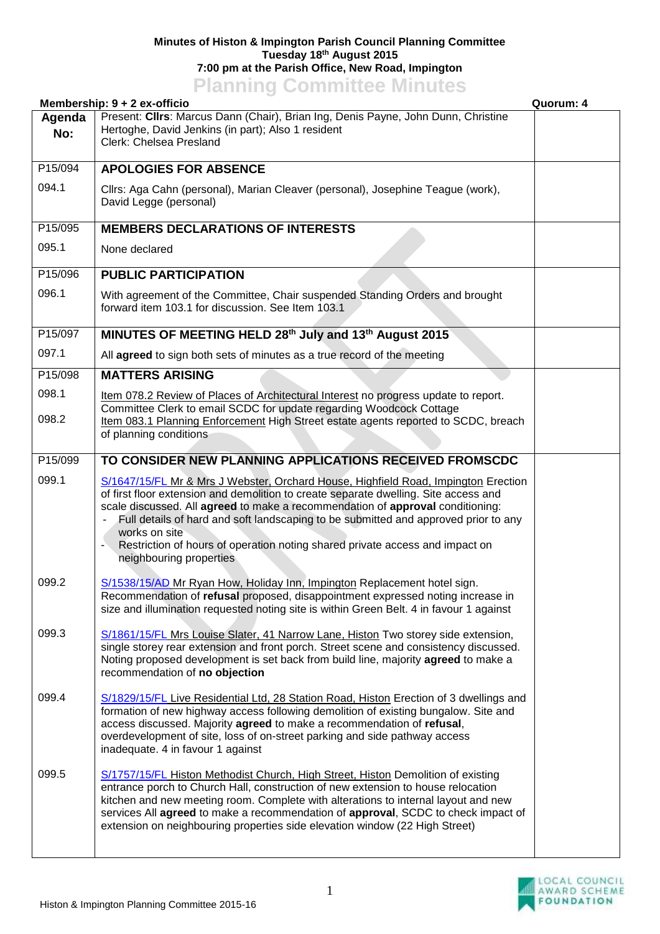## **Minutes of Histon & Impington Parish Council Planning Committee Tuesday 18th August 2015 7:00 pm at the Parish Office, New Road, Impington Planning Committee Minutes**

| Membership: 9 + 2 ex-officio |                                                                                                                                                                                                                                                                                                                                                                                                                                                                                 | Quorum: 4 |
|------------------------------|---------------------------------------------------------------------------------------------------------------------------------------------------------------------------------------------------------------------------------------------------------------------------------------------------------------------------------------------------------------------------------------------------------------------------------------------------------------------------------|-----------|
| Agenda<br>No:                | Present: Clirs: Marcus Dann (Chair), Brian Ing, Denis Payne, John Dunn, Christine<br>Hertoghe, David Jenkins (in part); Also 1 resident<br>Clerk: Chelsea Presland                                                                                                                                                                                                                                                                                                              |           |
| P15/094                      | <b>APOLOGIES FOR ABSENCE</b>                                                                                                                                                                                                                                                                                                                                                                                                                                                    |           |
| 094.1                        | Cllrs: Aga Cahn (personal), Marian Cleaver (personal), Josephine Teague (work),<br>David Legge (personal)                                                                                                                                                                                                                                                                                                                                                                       |           |
| P15/095                      | <b>MEMBERS DECLARATIONS OF INTERESTS</b>                                                                                                                                                                                                                                                                                                                                                                                                                                        |           |
| 095.1                        | None declared                                                                                                                                                                                                                                                                                                                                                                                                                                                                   |           |
| P15/096                      | <b>PUBLIC PARTICIPATION</b>                                                                                                                                                                                                                                                                                                                                                                                                                                                     |           |
| 096.1                        | With agreement of the Committee, Chair suspended Standing Orders and brought<br>forward item 103.1 for discussion. See Item 103.1                                                                                                                                                                                                                                                                                                                                               |           |
| P15/097                      | MINUTES OF MEETING HELD 28th July and 13th August 2015                                                                                                                                                                                                                                                                                                                                                                                                                          |           |
| 097.1                        | All agreed to sign both sets of minutes as a true record of the meeting                                                                                                                                                                                                                                                                                                                                                                                                         |           |
| P15/098                      | <b>MATTERS ARISING</b>                                                                                                                                                                                                                                                                                                                                                                                                                                                          |           |
| 098.1                        | Item 078.2 Review of Places of Architectural Interest no progress update to report.<br>Committee Clerk to email SCDC for update regarding Woodcock Cottage                                                                                                                                                                                                                                                                                                                      |           |
| 098.2                        | Item 083.1 Planning Enforcement High Street estate agents reported to SCDC, breach<br>of planning conditions                                                                                                                                                                                                                                                                                                                                                                    |           |
| P15/099                      | TO CONSIDER NEW PLANNING APPLICATIONS RECEIVED FROMSCDC                                                                                                                                                                                                                                                                                                                                                                                                                         |           |
| 099.1                        | S/1647/15/FL Mr & Mrs J Webster, Orchard House, Highfield Road, Impington Erection<br>of first floor extension and demolition to create separate dwelling. Site access and<br>scale discussed. All agreed to make a recommendation of approval conditioning:<br>Full details of hard and soft landscaping to be submitted and approved prior to any<br>works on site<br>Restriction of hours of operation noting shared private access and impact on<br>neighbouring properties |           |
| 099.2                        | S/1538/15/AD Mr Ryan How, Holiday Inn, Impington Replacement hotel sign.<br>Recommendation of refusal proposed, disappointment expressed noting increase in<br>size and illumination requested noting site is within Green Belt. 4 in favour 1 against                                                                                                                                                                                                                          |           |
| 099.3                        | S/1861/15/FL Mrs Louise Slater, 41 Narrow Lane, Histon Two storey side extension,<br>single storey rear extension and front porch. Street scene and consistency discussed.<br>Noting proposed development is set back from build line, majority agreed to make a<br>recommendation of no objection                                                                                                                                                                              |           |
| 099.4                        | S/1829/15/FL Live Residential Ltd, 28 Station Road, Histon Erection of 3 dwellings and<br>formation of new highway access following demolition of existing bungalow. Site and<br>access discussed. Majority agreed to make a recommendation of refusal,<br>overdevelopment of site, loss of on-street parking and side pathway access<br>inadequate. 4 in favour 1 against                                                                                                      |           |
| 099.5                        | S/1757/15/FL Histon Methodist Church, High Street, Histon Demolition of existing<br>entrance porch to Church Hall, construction of new extension to house relocation<br>kitchen and new meeting room. Complete with alterations to internal layout and new<br>services All agreed to make a recommendation of approval, SCDC to check impact of<br>extension on neighbouring properties side elevation window (22 High Street)                                                  |           |